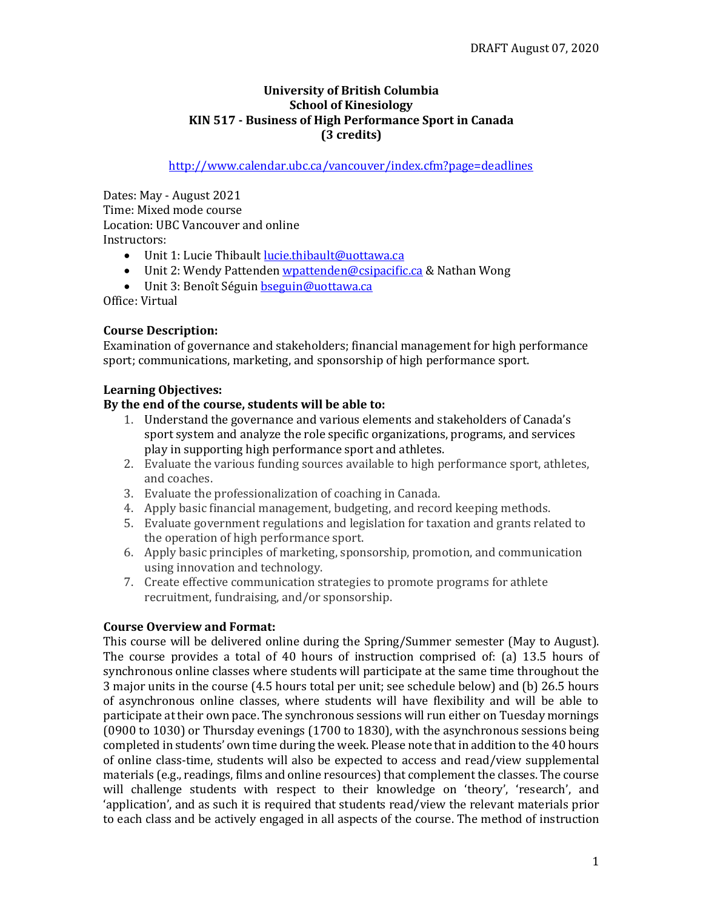#### **University of British Columbia School of Kinesiology KIN 517 - Business of High Performance Sport in Canada (3 credits)**

## <http://www.calendar.ubc.ca/vancouver/index.cfm?page=deadlines>

Dates: May - August 2021 Time: Mixed mode course Location: UBC Vancouver and online Instructors:

- Unit 1: Lucie Thibault lucie.thibault@uottawa.ca
- Unit 2: Wendy Pattenden [wpattenden@csipacific.ca](mailto:wpattenden@csipacific.ca) & Nathan Wong
- Unit 3: Benoît Séguin [bseguin@uottawa.ca](mailto:bseguin@uottawa.ca)

Office: Virtual

### **Course Description:**

Examination of governance and stakeholders; financial management for high performance sport; communications, marketing, and sponsorship of high performance sport.

#### **Learning Objectives:**

#### **By the end of the course, students will be able to:**

- 1. Understand the governance and various elements and stakeholders of Canada's sport system and analyze the role specific organizations, programs, and services play in supporting high performance sport and athletes.
- 2. Evaluate the various funding sources available to high performance sport, athletes, and coaches.
- 3. Evaluate the professionalization of coaching in Canada.
- 4. Apply basic financial management, budgeting, and record keeping methods.
- 5. Evaluate government regulations and legislation for taxation and grants related to the operation of high performance sport.
- 6. Apply basic principles of marketing, sponsorship, promotion, and communication using innovation and technology.
- 7. Create effective communication strategies to promote programs for athlete recruitment, fundraising, and/or sponsorship.

### **Course Overview and Format:**

This course will be delivered online during the Spring/Summer semester (May to August). The course provides a total of 40 hours of instruction comprised of: (a) 13.5 hours of synchronous online classes where students will participate at the same time throughout the 3 major units in the course (4.5 hours total per unit; see schedule below) and (b) 26.5 hours of asynchronous online classes, where students will have flexibility and will be able to participate at their own pace. The synchronous sessions will run either on Tuesday mornings (0900 to 1030) or Thursday evenings (1700 to 1830), with the asynchronous sessions being completed in students' own time during the week. Please note that in addition to the 40 hours of online class-time, students will also be expected to access and read/view supplemental materials (e.g., readings, films and online resources) that complement the classes. The course will challenge students with respect to their knowledge on 'theory', 'research', and 'application', and as such it is required that students read/view the relevant materials prior to each class and be actively engaged in all aspects of the course. The method of instruction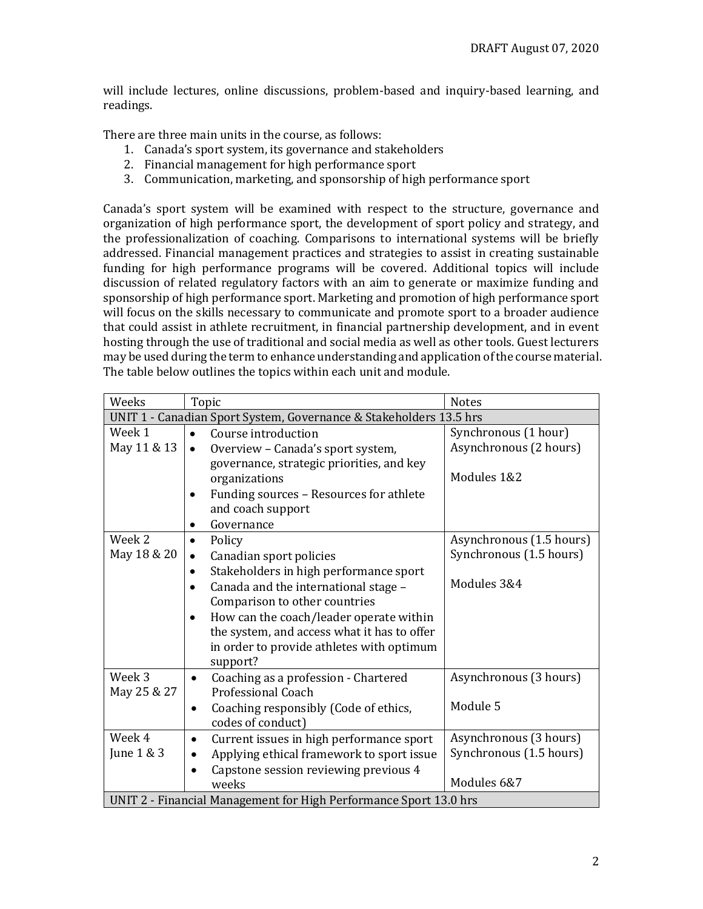will include lectures, online discussions, problem-based and inquiry-based learning, and readings.

There are three main units in the course, as follows:

- 1. Canada's sport system, its governance and stakeholders
- 2. Financial management for high performance sport
- 3. Communication, marketing, and sponsorship of high performance sport

Canada's sport system will be examined with respect to the structure, governance and organization of high performance sport, the development of sport policy and strategy, and the professionalization of coaching. Comparisons to international systems will be briefly addressed. Financial management practices and strategies to assist in creating sustainable funding for high performance programs will be covered. Additional topics will include discussion of related regulatory factors with an aim to generate or maximize funding and sponsorship of high performance sport. Marketing and promotion of high performance sport will focus on the skills necessary to communicate and promote sport to a broader audience that could assist in athlete recruitment, in financial partnership development, and in event hosting through the use of traditional and social media as well as other tools. Guest lecturers may be used during the term to enhance understanding and application of the course material. The table below outlines the topics within each unit and module.

| Weeks                                                              | Topic                                                | <b>Notes</b>             |  |
|--------------------------------------------------------------------|------------------------------------------------------|--------------------------|--|
| UNIT 1 - Canadian Sport System, Governance & Stakeholders 13.5 hrs |                                                      |                          |  |
| Week 1                                                             | Course introduction<br>$\bullet$                     | Synchronous (1 hour)     |  |
| May 11 & 13                                                        | Overview - Canada's sport system,<br>$\bullet$       | Asynchronous (2 hours)   |  |
|                                                                    | governance, strategic priorities, and key            |                          |  |
|                                                                    | organizations                                        | Modules 1&2              |  |
|                                                                    | Funding sources - Resources for athlete<br>$\bullet$ |                          |  |
|                                                                    | and coach support                                    |                          |  |
|                                                                    | Governance                                           |                          |  |
| Week 2                                                             | Policy<br>$\bullet$                                  | Asynchronous (1.5 hours) |  |
| May 18 & 20                                                        | Canadian sport policies<br>$\bullet$                 | Synchronous (1.5 hours)  |  |
|                                                                    | Stakeholders in high performance sport<br>٠          |                          |  |
|                                                                    | Canada and the international stage -                 | Modules 3&4              |  |
|                                                                    | Comparison to other countries                        |                          |  |
|                                                                    | How can the coach/leader operate within<br>$\bullet$ |                          |  |
|                                                                    | the system, and access what it has to offer          |                          |  |
|                                                                    | in order to provide athletes with optimum            |                          |  |
|                                                                    | support?                                             |                          |  |
| Week <sub>3</sub>                                                  | Coaching as a profession - Chartered<br>$\bullet$    | Asynchronous (3 hours)   |  |
| May 25 & 27                                                        | <b>Professional Coach</b>                            |                          |  |
|                                                                    | Coaching responsibly (Code of ethics,                | Module 5                 |  |
|                                                                    | codes of conduct)                                    |                          |  |
| Week 4                                                             | Current issues in high performance sport<br>٠        | Asynchronous (3 hours)   |  |
| June 1 & 3                                                         | Applying ethical framework to sport issue            | Synchronous (1.5 hours)  |  |
|                                                                    | Capstone session reviewing previous 4                |                          |  |
|                                                                    | weeks                                                | Modules 6&7              |  |
| UNIT 2 - Financial Management for High Performance Sport 13.0 hrs  |                                                      |                          |  |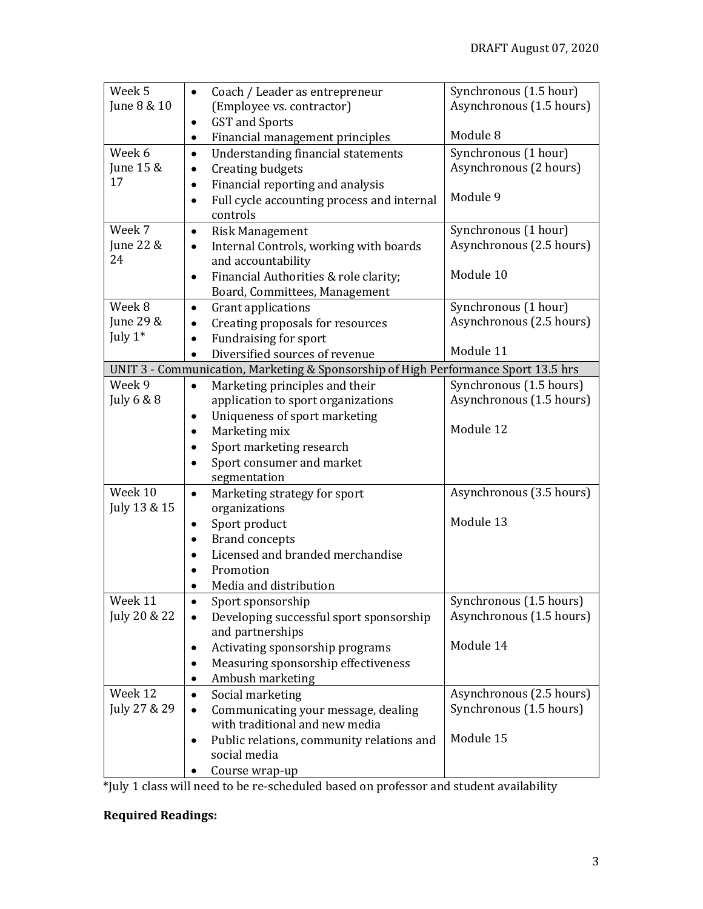| Week <sub>5</sub>       | Coach / Leader as entrepreneur<br>$\bullet$                                        | Synchronous (1.5 hour)                              |
|-------------------------|------------------------------------------------------------------------------------|-----------------------------------------------------|
| June 8 & 10             | (Employee vs. contractor)                                                          | Asynchronous (1.5 hours)                            |
|                         | <b>GST</b> and Sports<br>٠                                                         |                                                     |
|                         | Financial management principles<br>٠                                               | Module 8                                            |
| Week 6                  | Understanding financial statements<br>$\bullet$                                    | Synchronous (1 hour)                                |
| June 15 &               | <b>Creating budgets</b><br>$\bullet$                                               | Asynchronous (2 hours)                              |
| 17                      | Financial reporting and analysis<br>٠                                              |                                                     |
|                         | Full cycle accounting process and internal<br>$\bullet$                            | Module 9                                            |
|                         | controls                                                                           |                                                     |
| Week 7                  | <b>Risk Management</b><br>$\bullet$                                                | Synchronous (1 hour)                                |
| June 22 &               | Internal Controls, working with boards<br>$\bullet$                                | Asynchronous (2.5 hours)                            |
| 24                      | and accountability                                                                 |                                                     |
|                         | Financial Authorities & role clarity;<br>$\bullet$                                 | Module 10                                           |
|                         | Board, Committees, Management                                                      |                                                     |
| Week 8                  | Grant applications<br>$\bullet$                                                    | Synchronous (1 hour)                                |
| June 29 &<br>July $1^*$ | Creating proposals for resources                                                   | Asynchronous (2.5 hours)                            |
|                         | Fundraising for sport<br>$\bullet$<br>Diversified sources of revenue               | Module 11                                           |
|                         | UNIT 3 - Communication, Marketing & Sponsorship of High Performance Sport 13.5 hrs |                                                     |
| Week 9                  |                                                                                    | Synchronous (1.5 hours)                             |
| July 6 & 8              | Marketing principles and their<br>application to sport organizations               | Asynchronous (1.5 hours)                            |
|                         | Uniqueness of sport marketing<br>$\bullet$                                         |                                                     |
|                         | Marketing mix<br>٠                                                                 | Module 12                                           |
|                         | Sport marketing research                                                           |                                                     |
|                         | Sport consumer and market                                                          |                                                     |
|                         | segmentation                                                                       |                                                     |
| Week 10                 | Marketing strategy for sport<br>$\bullet$                                          | Asynchronous (3.5 hours)                            |
| July 13 & 15            | organizations                                                                      |                                                     |
|                         | Sport product<br>٠                                                                 | Module 13                                           |
|                         | <b>Brand concepts</b><br>$\bullet$                                                 |                                                     |
|                         | Licensed and branded merchandise                                                   |                                                     |
|                         | Promotion                                                                          |                                                     |
|                         | Media and distribution                                                             |                                                     |
| Week 11                 | Sport sponsorship                                                                  | Synchronous (1.5 hours)                             |
| July 20 & 22            | Developing successful sport sponsorship                                            | Asynchronous (1.5 hours)                            |
|                         | and partnerships                                                                   |                                                     |
|                         | Activating sponsorship programs                                                    | Module 14                                           |
|                         | Measuring sponsorship effectiveness                                                |                                                     |
|                         | Ambush marketing                                                                   |                                                     |
| Week 12<br>July 27 & 29 | Social marketing<br>$\bullet$                                                      | Asynchronous (2.5 hours)<br>Synchronous (1.5 hours) |
|                         | Communicating your message, dealing<br>with traditional and new media              |                                                     |
|                         | Public relations, community relations and                                          | Module 15                                           |
|                         | social media                                                                       |                                                     |
|                         | Course wrap-up                                                                     |                                                     |
|                         |                                                                                    |                                                     |

\*July 1 class will need to be re-scheduled based on professor and student availability

## **Required Readings:**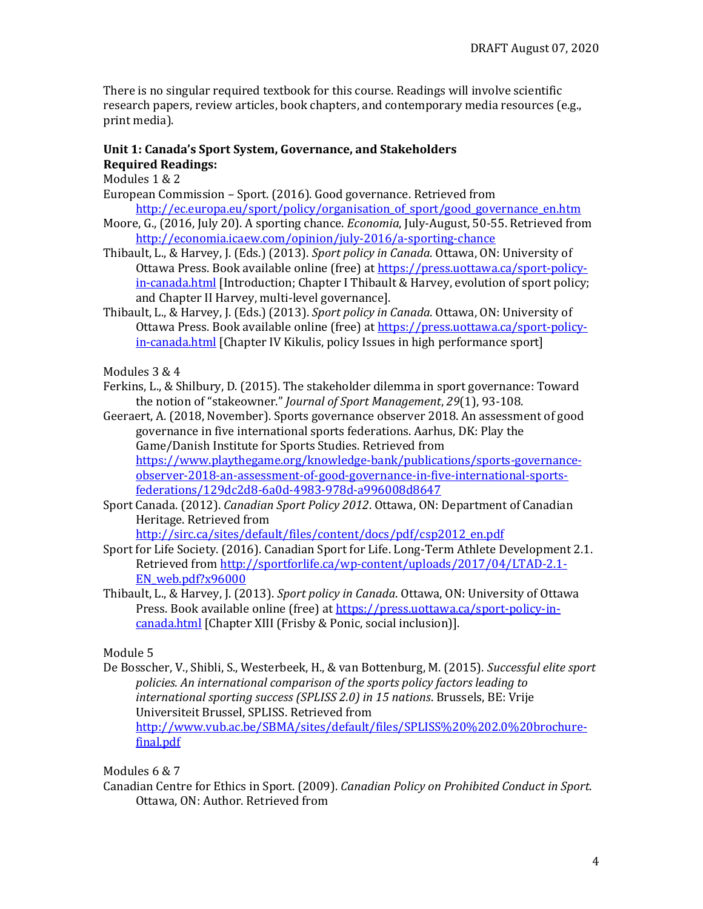There is no singular required textbook for this course. Readings will involve scientific research papers, review articles, book chapters, and contemporary media resources (e.g., print media).

#### **Unit 1: Canada's Sport System, Governance, and Stakeholders Required Readings:**

Modules 1 & 2

- European Commission Sport. (2016). Good governance. Retrieved from http://ec.europa.eu/sport/policy/organisation\_of\_sport/good\_governance\_en.htm
- Moore, G., (2016, July 20). A sporting chance. *Economia*, July-August, 50-55. Retrieved from <http://economia.icaew.com/opinion/july-2016/a-sporting-chance>
- Thibault, L., & Harvey, J. (Eds.) (2013). *Sport policy in Canada*. Ottawa, ON: University of Ottawa Press. Book available online (free) at [https://press.uottawa.ca/sport-policy](https://press.uottawa.ca/sport-policy-in-canada.html)[in-canada.html](https://press.uottawa.ca/sport-policy-in-canada.html) [Introduction; Chapter I Thibault & Harvey, evolution of sport policy; and Chapter II Harvey, multi-level governance].
- Thibault, L., & Harvey, J. (Eds.) (2013). *Sport policy in Canada*. Ottawa, ON: University of Ottawa Press. Book available online (free) at [https://press.uottawa.ca/sport-policy](https://press.uottawa.ca/sport-policy-in-canada.html)[in-canada.html](https://press.uottawa.ca/sport-policy-in-canada.html) [Chapter IV Kikulis, policy Issues in high performance sport]

Modules 3 & 4

- Ferkins, L., & Shilbury, D. (2015). The stakeholder dilemma in sport governance: Toward the notion of "stakeowner." *Journal of Sport Management*, *29*(1), 93-108.
- Geeraert, A. (2018, November). Sports governance observer 2018. An assessment of good governance in five international sports federations. Aarhus, DK: Play the Game/Danish Institute for Sports Studies. Retrieved from [https://www.playthegame.org/knowledge-bank/publications/sports-governance](https://www.playthegame.org/knowledge-bank/publications/sports-governance-observer-2018-an-assessment-of-good-governance-in-five-international-sports-federations/129dc2d8-6a0d-4983-978d-a996008d8647)[observer-2018-an-assessment-of-good-governance-in-five-international-sports](https://www.playthegame.org/knowledge-bank/publications/sports-governance-observer-2018-an-assessment-of-good-governance-in-five-international-sports-federations/129dc2d8-6a0d-4983-978d-a996008d8647)[federations/129dc2d8-6a0d-4983-978d-a996008d8647](https://www.playthegame.org/knowledge-bank/publications/sports-governance-observer-2018-an-assessment-of-good-governance-in-five-international-sports-federations/129dc2d8-6a0d-4983-978d-a996008d8647)
- Sport Canada. (2012). *Canadian Sport Policy 2012*. Ottawa, ON: Department of Canadian Heritage. Retrieved from

[http://sirc.ca/sites/default/files/content/docs/pdf/csp2012\\_en.pdf](http://sirc.ca/sites/default/files/content/docs/pdf/csp2012_en.pdf)

- Sport for Life Society. (2016). Canadian Sport for Life. Long-Term Athlete Development 2.1. Retrieved from [http://sportforlife.ca/wp-content/uploads/2017/04/LTAD-2.1-](http://sportforlife.ca/wp-content/uploads/2017/04/LTAD-2.1-EN_web.pdf?x96000) [EN\\_web.pdf?x96000](http://sportforlife.ca/wp-content/uploads/2017/04/LTAD-2.1-EN_web.pdf?x96000)
- Thibault, L., & Harvey, J. (2013). *Sport policy in Canada*. Ottawa, ON: University of Ottawa Press. Book available online (free) a[t https://press.uottawa.ca/sport-policy-in](https://press.uottawa.ca/sport-policy-in-canada.html)[canada.html](https://press.uottawa.ca/sport-policy-in-canada.html) [Chapter XIII (Frisby & Ponic, social inclusion)].

Module 5

De Bosscher, V., Shibli, S., Westerbeek, H., & van Bottenburg, M. (2015). *Successful elite sport policies. An international comparison of the sports policy factors leading to international sporting success (SPLISS 2.0) in 15 nations*. Brussels, BE: Vrije Universiteit Brussel, SPLISS. Retrieved from [http://www.vub.ac.be/SBMA/sites/default/files/SPLISS%20%202.0%20brochure](http://www.vub.ac.be/SBMA/sites/default/files/SPLISS%20%202.0%20brochure-final.pdf)[final.pdf](http://www.vub.ac.be/SBMA/sites/default/files/SPLISS%20%202.0%20brochure-final.pdf)

Modules 6 & 7

Canadian Centre for Ethics in Sport. (2009). *Canadian Policy on Prohibited Conduct in Sport*. Ottawa, ON: Author. Retrieved from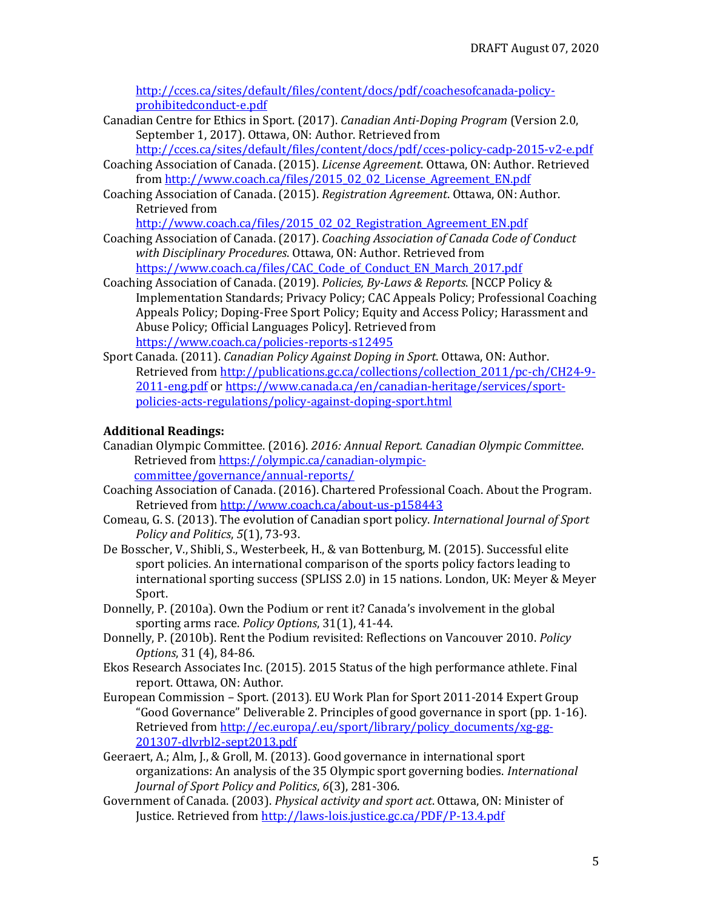[http://cces.ca/sites/default/files/content/docs/pdf/coachesofcanada-policy](http://cces.ca/sites/default/files/content/docs/pdf/coachesofcanada-policy-prohibitedconduct-e.pdf)[prohibitedconduct-e.pdf](http://cces.ca/sites/default/files/content/docs/pdf/coachesofcanada-policy-prohibitedconduct-e.pdf)

Canadian Centre for Ethics in Sport. (2017). *Canadian Anti-Doping Program* (Version 2.0, September 1, 2017). Ottawa, ON: Author. Retrieved from

<http://cces.ca/sites/default/files/content/docs/pdf/cces-policy-cadp-2015-v2-e.pdf> Coaching Association of Canada. (2015). *License Agreement*. Ottawa, ON: Author. Retrieved

- fro[m http://www.coach.ca/files/2015\\_02\\_02\\_License\\_Agreement\\_EN.pdf](http://www.coach.ca/files/2015_02_02_License_Agreement_EN.pdf) Coaching Association of Canada. (2015). *Registration Agreement*. Ottawa, ON: Author.
- Retrieved from

[http://www.coach.ca/files/2015\\_02\\_02\\_Registration\\_Agreement\\_EN.pdf](http://www.coach.ca/files/2015_02_02_Registration_Agreement_EN.pdf)

- Coaching Association of Canada. (2017). *Coaching Association of Canada Code of Conduct with Disciplinary Procedures*. Ottawa, ON: Author. Retrieved from [https://www.coach.ca/files/CAC\\_Code\\_of\\_Conduct\\_EN\\_March\\_2017.pdf](https://www.coach.ca/files/CAC_Code_of_Conduct_EN_March_2017.pdf)
- Coaching Association of Canada. (2019). *Policies, By-Laws & Reports*. [NCCP Policy & Implementation Standards; Privacy Policy; CAC Appeals Policy; Professional Coaching Appeals Policy; Doping-Free Sport Policy; Equity and Access Policy; Harassment and Abuse Policy; Official Languages Policy]. Retrieved from <https://www.coach.ca/policies-reports-s12495>
- Sport Canada. (2011). *Canadian Policy Against Doping in Sport*. Ottawa, ON: Author. Retrieved from http://publications.gc.ca/collections/collection 2011/pc-ch/CH24-9-[2011-eng.pdf](http://publications.gc.ca/collections/collection_2011/pc-ch/CH24-9-2011-eng.pdf) o[r https://www.canada.ca/en/canadian-heritage/services/sport](https://www.canada.ca/en/canadian-heritage/services/sport-policies-acts-regulations/policy-against-doping-sport.html)[policies-acts-regulations/policy-against-doping-sport.html](https://www.canada.ca/en/canadian-heritage/services/sport-policies-acts-regulations/policy-against-doping-sport.html)

## **Additional Readings:**

- Canadian Olympic Committee. (2016). *2016: Annual Report. Canadian Olympic Committee*. Retrieved fro[m https://olympic.ca/canadian-olympic](https://olympic.ca/canadian-olympic-committee/governance/annual-reports/)[committee/governance/annual-reports/](https://olympic.ca/canadian-olympic-committee/governance/annual-reports/)
- Coaching Association of Canada. (2016). Chartered Professional Coach. About the Program. Retrieved from<http://www.coach.ca/about-us-p158443>
- Comeau, G. S. (2013). The evolution of Canadian sport policy. *International Journal of Sport Policy and Politics*, *5*(1), 73-93.
- De Bosscher, V., Shibli, S., Westerbeek, H., & van Bottenburg, M. (2015). Successful elite sport policies. An international comparison of the sports policy factors leading to international sporting success (SPLISS 2.0) in 15 nations. London, UK: Meyer & Meyer Sport.
- Donnelly, P. (2010a). Own the Podium or rent it? Canada's involvement in the global sporting arms race. *Policy Options*, 31(1), 41-44.
- Donnelly, P. (2010b). Rent the Podium revisited: Reflections on Vancouver 2010. *Policy Options*, 31 (4), 84-86.
- Ekos Research Associates Inc. (2015). 2015 Status of the high performance athlete. Final report. Ottawa, ON: Author.
- European Commission Sport. (2013). EU Work Plan for Sport 2011-2014 Expert Group "Good Governance" Deliverable 2. Principles of good governance in sport (pp. 1-16). Retrieved from [http://ec.europa/.eu/sport/library/policy\\_documents/xg-gg-](http://ec.europa/.eu/sport/library/policy_documents/xg-gg-201307-dlvrbl2-sept2013.pdf)[201307-dlvrbl2-sept2013.pdf](http://ec.europa/.eu/sport/library/policy_documents/xg-gg-201307-dlvrbl2-sept2013.pdf)
- Geeraert, A.; Alm, J., & Groll, M. (2013). Good governance in international sport organizations: An analysis of the 35 Olympic sport governing bodies. *International Journal of Sport Policy and Politics*, *6*(3), 281-306.
- Government of Canada. (2003). *Physical activity and sport act*. Ottawa, ON: Minister of Justice. Retrieved from<http://laws-lois.justice.gc.ca/PDF/P-13.4.pdf>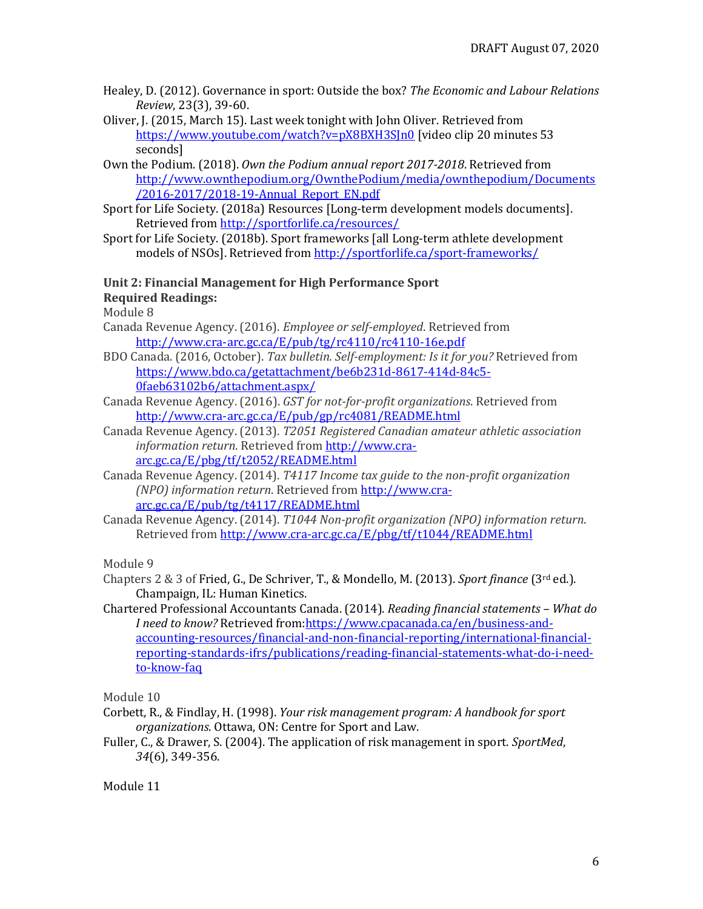- Healey, D. (2012). Governance in sport: Outside the box? *The Economic and Labour Relations Review*, 23(3), 39-60.
- Oliver, J. (2015, March 15). Last week tonight with John Oliver. Retrieved from <https://www.youtube.com/watch?v=pX8BXH3SJn0> [video clip 20 minutes 53 seconds]
- Own the Podium. (2018). *Own the Podium annual report 2017-2018*. Retrieved from [http://www.ownthepodium.org/OwnthePodium/media/ownthepodium/Documents](http://www.ownthepodium.org/OwnthePodium/media/ownthepodium/Documents/2016-2017/2018-19-Annual_Report_EN.pdf) [/2016-2017/2018-19-Annual\\_Report\\_EN.pdf](http://www.ownthepodium.org/OwnthePodium/media/ownthepodium/Documents/2016-2017/2018-19-Annual_Report_EN.pdf)
- Sport for Life Society. (2018a) Resources [Long-term development models documents]. Retrieved from<http://sportforlife.ca/resources/>
- Sport for Life Society. (2018b). Sport frameworks [all Long-term athlete development models of NSOs]. Retrieved fro[m http://sportforlife.ca/sport-frameworks/](http://sportforlife.ca/sport-frameworks/)

# **Unit 2: Financial Management for High Performance Sport**

**Required Readings:**

Module 8

- Canada Revenue Agency. (2016). *Employee or self-employed*. Retrieved from <http://www.cra-arc.gc.ca/E/pub/tg/rc4110/rc4110-16e.pdf>
- BDO Canada. (2016, October). *Tax bulletin. Self-employment: Is it for you?* Retrieved from [https://www.bdo.ca/getattachment/be6b231d-8617-414d-84c5-](https://www.bdo.ca/getattachment/be6b231d-8617-414d-84c5-0faeb63102b6/attachment.aspx/) [0faeb63102b6/attachment.aspx/](https://www.bdo.ca/getattachment/be6b231d-8617-414d-84c5-0faeb63102b6/attachment.aspx/)
- Canada Revenue Agency. (2016). *GST for not-for-profit organizations*. Retrieved from <http://www.cra-arc.gc.ca/E/pub/gp/rc4081/README.html>
- Canada Revenue Agency. (2013). *T2051 Registered Canadian amateur athletic association information return*. Retrieved from [http://www.cra](http://www.cra-arc.gc.ca/E/pbg/tf/t2052/README.html)[arc.gc.ca/E/pbg/tf/t2052/README.html](http://www.cra-arc.gc.ca/E/pbg/tf/t2052/README.html)
- Canada Revenue Agency. (2014). *T4117 Income tax guide to the non-profit organization (NPO) information return*. Retrieved from [http://www.cra](http://www.cra-arc.gc.ca/E/pub/tg/t4117/README.html)[arc.gc.ca/E/pub/tg/t4117/README.html](http://www.cra-arc.gc.ca/E/pub/tg/t4117/README.html)
- Canada Revenue Agency. (2014). *T1044 Non-profit organization (NPO) information return*. Retrieved from <http://www.cra-arc.gc.ca/E/pbg/tf/t1044/README.html>

Module 9

- Chapters 2 & 3 of Fried, G., De Schriver, T., & Mondello, M. (2013). *Sport finance* (3rd ed.). Champaign, IL: Human Kinetics.
- Chartered Professional Accountants Canada. (2014). *Reading financial statements – What do I need to know?* Retrieved from[:https://www.cpacanada.ca/en/business-and](https://www.cpacanada.ca/en/business-and-accounting-resources/financial-and-non-financial-reporting/international-financial-reporting-standards-ifrs/publications/reading-financial-statements-what-do-i-need-to-know-faq)[accounting-resources/financial-and-non-financial-reporting/international-financial](https://www.cpacanada.ca/en/business-and-accounting-resources/financial-and-non-financial-reporting/international-financial-reporting-standards-ifrs/publications/reading-financial-statements-what-do-i-need-to-know-faq)[reporting-standards-ifrs/publications/reading-financial-statements-what-do-i-need](https://www.cpacanada.ca/en/business-and-accounting-resources/financial-and-non-financial-reporting/international-financial-reporting-standards-ifrs/publications/reading-financial-statements-what-do-i-need-to-know-faq)[to-know-faq](https://www.cpacanada.ca/en/business-and-accounting-resources/financial-and-non-financial-reporting/international-financial-reporting-standards-ifrs/publications/reading-financial-statements-what-do-i-need-to-know-faq)

Module 10

- Corbett, R., & Findlay, H. (1998). *Your risk management program: A handbook for sport organizations*. Ottawa, ON: Centre for Sport and Law.
- Fuller, C., & Drawer, S. (2004). The application of risk management in sport. *SportMed*, *34*(6), 349-356.

Module 11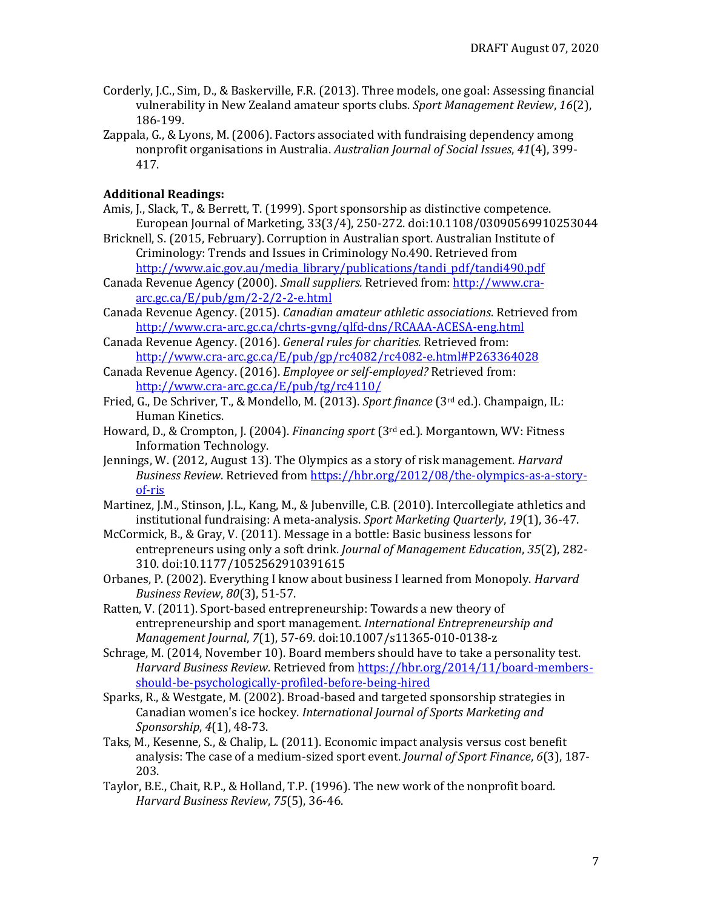- Corderly, J.C., Sim, D., & Baskerville, F.R. (2013). Three models, one goal: Assessing financial vulnerability in New Zealand amateur sports clubs. *Sport Management Review*, *16*(2), 186-199.
- Zappala, G., & Lyons, M. (2006). Factors associated with fundraising dependency among nonprofit organisations in Australia. *Australian Journal of Social Issues*, *41*(4), 399- 417.

## **Additional Readings:**

- Amis, J., Slack, T., & Berrett, T. (1999). Sport sponsorship as distinctive competence. European Journal of Marketing, 33(3/4), 250-272. doi:10.1108/03090569910253044
- Bricknell, S. (2015, February). Corruption in Australian sport. Australian Institute of Criminology: Trends and Issues in Criminology No.490. Retrieved from [http://www.aic.gov.au/media\\_library/publications/tandi\\_pdf/tandi490.pdf](http://www.aic.gov.au/media_library/publications/tandi_pdf/tandi490.pdf)
- Canada Revenue Agency (2000). *Small suppliers.* Retrieved from[: http://www.cra](http://www.cra-arc.gc.ca/E/pub/gm/2-2/2-2-e.html)[arc.gc.ca/E/pub/gm/2-2/2-2-e.html](http://www.cra-arc.gc.ca/E/pub/gm/2-2/2-2-e.html)
- Canada Revenue Agency. (2015). *Canadian amateur athletic associations*. Retrieved from http://www.cra-arc.gc.ca/chrts-gvng/qlfd-dns/RCAAA-ACESA-eng.html
- Canada Revenue Agency. (2016). *General rules for charities.* Retrieved from: <http://www.cra-arc.gc.ca/E/pub/gp/rc4082/rc4082-e.html#P263364028>
- Canada Revenue Agency. (2016). *Employee or self-employed?* Retrieved from: <http://www.cra-arc.gc.ca/E/pub/tg/rc4110/>
- Fried, G., De Schriver, T., & Mondello, M. (2013). *Sport finance* (3rd ed.). Champaign, IL: Human Kinetics.
- Howard, D., & Crompton, J. (2004). *Financing sport* (3rd ed.). Morgantown, WV: Fitness Information Technology.
- Jennings, W. (2012, August 13). The Olympics as a story of risk management. *Harvard Business Review*. Retrieved from [https://hbr.org/2012/08/the-olympics-as-a-story](https://hbr.org/2012/08/the-olympics-as-a-story-of-ris)[of-ris](https://hbr.org/2012/08/the-olympics-as-a-story-of-ris)
- Martinez, J.M., Stinson, J.L., Kang, M., & Jubenville, C.B. (2010). Intercollegiate athletics and institutional fundraising: A meta-analysis. *Sport Marketing Quarterly*, *19*(1), 36-47.
- McCormick, B., & Gray, V. (2011). Message in a bottle: Basic business lessons for entrepreneurs using only a soft drink. *Journal of Management Education*, *35*(2), 282- 310. doi:10.1177/1052562910391615
- Orbanes, P. (2002). Everything I know about business I learned from Monopoly. *Harvard Business Review*, *80*(3), 51-57.
- Ratten, V. (2011). Sport-based entrepreneurship: Towards a new theory of entrepreneurship and sport management. *International Entrepreneurship and Management Journal*, *7*(1), 57-69. doi:10.1007/s11365-010-0138-z
- Schrage, M. (2014, November 10). Board members should have to take a personality test. *Harvard Business Review*. Retrieved fro[m https://hbr.org/2014/11/board-members](https://hbr.org/2014/11/board-members-should-be-psychologically-profiled-before-being-hired)[should-be-psychologically-profiled-before-being-hired](https://hbr.org/2014/11/board-members-should-be-psychologically-profiled-before-being-hired)
- Sparks, R., & Westgate, M. (2002). Broad-based and targeted sponsorship strategies in Canadian women's ice hockey. *International Journal of Sports Marketing and Sponsorship*, *4*(1), 48-73.
- Taks, M., Kesenne, S., & Chalip, L. (2011). Economic impact analysis versus cost benefit analysis: The case of a medium-sized sport event. *Journal of Sport Finance*, *6*(3), 187- 203.
- Taylor, B.E., Chait, R.P., & Holland, T.P. (1996). The new work of the nonprofit board. *Harvard Business Review*, *75*(5), 36-46.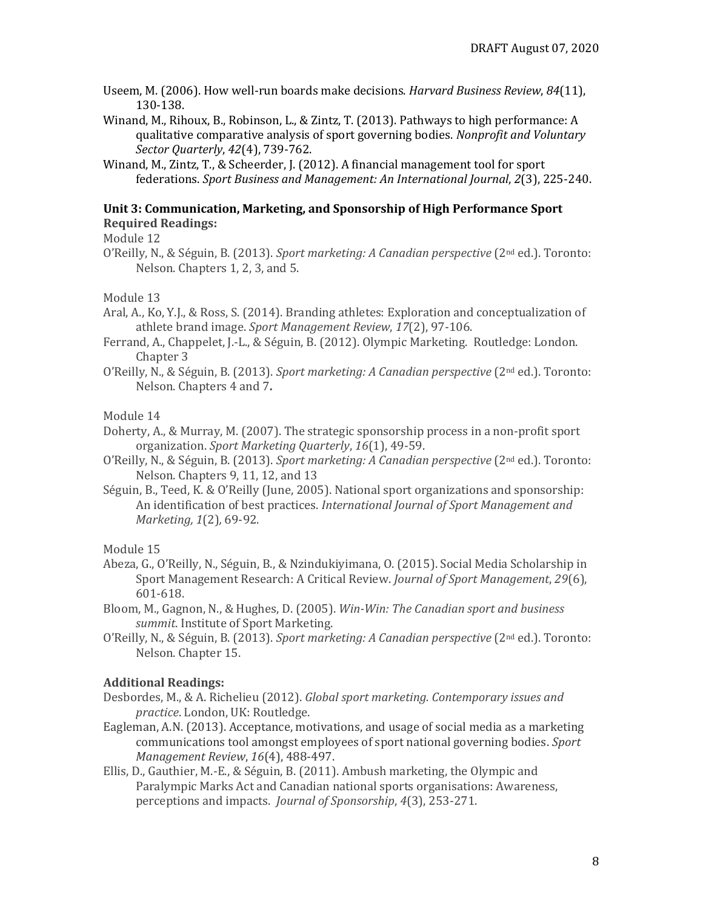Useem, M. (2006). How well-run boards make decisions. *Harvard Business Review*, *84*(11), 130-138.

Winand, M., Rihoux, B., Robinson, L., & Zintz, T. (2013). Pathways to high performance: A qualitative comparative analysis of sport governing bodies. *Nonprofit and Voluntary Sector Quarterly*, *42*(4), 739-762.

Winand, M., Zintz, T., & Scheerder, J. (2012). A financial management tool for sport federations. *Sport Business and Management: An International Journal*, *2*(3), 225-240.

#### **Unit 3: Communication, Marketing, and Sponsorship of High Performance Sport Required Readings:**

Module 12

O'Reilly, N., & Séguin, B. (2013). *Sport marketing: A Canadian perspective* (2nd ed.). Toronto: Nelson. Chapters 1, 2, 3, and 5.

Module 13

- Aral, A., Ko, Y.J., & Ross, S. (2014). Branding athletes: Exploration and conceptualization of athlete brand image. *Sport Management Review*, *17*(2), 97-106.
- Ferrand, A., Chappelet, J.-L., & Séguin, B. (2012). Olympic Marketing. Routledge: London. Chapter 3
- O'Reilly, N., & Séguin, B. (2013). *Sport marketing: A Canadian perspective* (2nd ed.). Toronto: Nelson. Chapters 4 and 7**.**

#### Module 14

Doherty, A., & Murray, M. (2007). The strategic sponsorship process in a non-profit sport organization. *Sport Marketing Quarterly*, *16*(1), 49-59.

O'Reilly, N., & Séguin, B. (2013). *Sport marketing: A Canadian perspective* (2nd ed.). Toronto: Nelson. Chapters 9, 11, 12, and 13

Séguin, B., Teed, K. & O'Reilly (June, 2005). National sport organizations and sponsorship: An identification of best practices. *International Journal of Sport Management and Marketing, 1*(2)*,* 69-92.

Module 15

- Abeza, G., O'Reilly, N., Séguin, B., & Nzindukiyimana, O. (2015). Social Media Scholarship in Sport Management Research: A Critical Review. *Journal of Sport Management*, *29*(6), 601-618.
- Bloom, M., Gagnon, N., & Hughes, D. (2005). *Win-Win: The Canadian sport and business summit*. Institute of Sport Marketing.
- O'Reilly, N., & Séguin, B. (2013). *Sport marketing: A Canadian perspective* (2nd ed.). Toronto: Nelson. Chapter 15.

#### **Additional Readings:**

- Desbordes, M., & A. Richelieu (2012). *Global sport marketing. Contemporary issues and practice*. London, UK: Routledge.
- Eagleman, A.N. (2013). Acceptance, motivations, and usage of social media as a marketing communications tool amongst employees of sport national governing bodies. *Sport Management Review*, *16*(4), 488-497.
- Ellis, D., Gauthier, M.-E., & Séguin, B. (2011). Ambush marketing, the Olympic and Paralympic Marks Act and Canadian national sports organisations: Awareness, perceptions and impacts. *Journal of Sponsorship*, *4*(3), 253-271.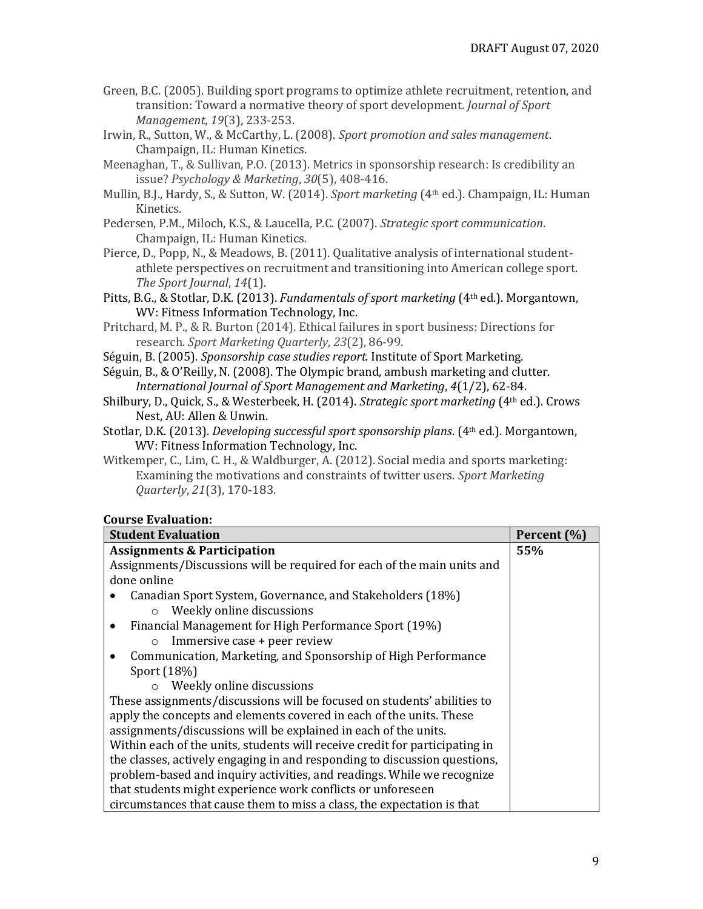- Green, B.C. (2005). Building sport programs to optimize athlete recruitment, retention, and transition: Toward a normative theory of sport development. *Journal of Sport Management*, *19*(3), 233-253.
- Irwin, R., Sutton, W., & McCarthy, L. (2008). *Sport promotion and sales management*. Champaign, IL: Human Kinetics.
- Meenaghan, T., & Sullivan, P.O. (2013). Metrics in sponsorship research: Is credibility an issue? *Psychology & Marketing*, *30*(5), 408-416.
- Mullin, B.J., Hardy, S., & Sutton, W. (2014). *Sport marketing* (4th ed.). Champaign, IL: Human Kinetics.
- Pedersen, P.M., Miloch, K.S., & Laucella, P.C. (2007). *Strategic sport communication*. Champaign, IL: Human Kinetics.
- Pierce, D., Popp, N., & Meadows, B. (2011). Qualitative analysis of international studentathlete perspectives on recruitment and transitioning into American college sport. *The Sport Journal*, *14*(1).
- Pitts, B.G., & Stotlar, D.K. (2013). *Fundamentals of sport marketing* (4th ed.). Morgantown, WV: Fitness Information Technology, Inc.
- Pritchard, M. P., & R. Burton (2014). Ethical failures in sport business: Directions for research. *Sport Marketing Quarterly*, *23*(2), 86-99.
- Séguin, B. (2005). *Sponsorship case studies report*. Institute of Sport Marketing.
- Séguin, B., & O'Reilly, N. (2008). The Olympic brand, ambush marketing and clutter. *International Journal of Sport Management and Marketing*, *4*(1/2), 62-84.
- Shilbury, D., Quick, S., & Westerbeek, H. (2014). *Strategic sport marketing* (4th ed.). Crows Nest, AU: Allen & Unwin.
- Stotlar, D.K. (2013). *Developing successful sport sponsorship plans*. (4th ed.). Morgantown, WV: Fitness Information Technology, Inc.
- Witkemper, C., Lim, C. H., & Waldburger, A. (2012). Social media and sports marketing: Examining the motivations and constraints of twitter users. *Sport Marketing Quarterly*, *21*(3), 170-183.

### **Course Evaluation:**

| <b>Student Evaluation</b>                                                   | Percent (%) |  |
|-----------------------------------------------------------------------------|-------------|--|
| <b>Assignments &amp; Participation</b>                                      | 55%         |  |
| Assignments/Discussions will be required for each of the main units and     |             |  |
| done online                                                                 |             |  |
| Canadian Sport System, Governance, and Stakeholders (18%)                   |             |  |
| Weekly online discussions<br>$\circ$                                        |             |  |
| Financial Management for High Performance Sport (19%)                       |             |  |
| Immersive case + peer review<br>$\circ$                                     |             |  |
| Communication, Marketing, and Sponsorship of High Performance               |             |  |
| Sport (18%)                                                                 |             |  |
| $\circ$ Weekly online discussions                                           |             |  |
| These assignments/discussions will be focused on students' abilities to     |             |  |
| apply the concepts and elements covered in each of the units. These         |             |  |
| assignments/discussions will be explained in each of the units.             |             |  |
| Within each of the units, students will receive credit for participating in |             |  |
| the classes, actively engaging in and responding to discussion questions,   |             |  |
| problem-based and inquiry activities, and readings. While we recognize      |             |  |
| that students might experience work conflicts or unforeseen                 |             |  |
| circumstances that cause them to miss a class, the expectation is that      |             |  |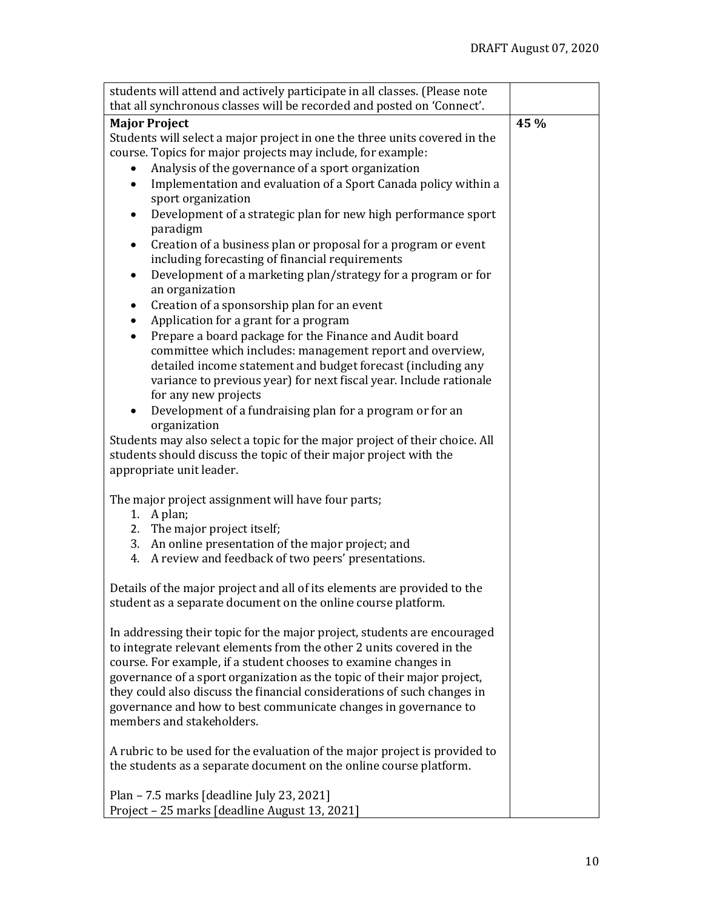| students will attend and actively participate in all classes. (Please note                                                     |      |  |
|--------------------------------------------------------------------------------------------------------------------------------|------|--|
| that all synchronous classes will be recorded and posted on 'Connect'.                                                         |      |  |
| <b>Major Project</b>                                                                                                           | 45 % |  |
| Students will select a major project in one the three units covered in the                                                     |      |  |
| course. Topics for major projects may include, for example:                                                                    |      |  |
| Analysis of the governance of a sport organization                                                                             |      |  |
| Implementation and evaluation of a Sport Canada policy within a                                                                |      |  |
| sport organization                                                                                                             |      |  |
| Development of a strategic plan for new high performance sport<br>paradigm                                                     |      |  |
| Creation of a business plan or proposal for a program or event<br>$\bullet$<br>including forecasting of financial requirements |      |  |
| Development of a marketing plan/strategy for a program or for<br>$\bullet$<br>an organization                                  |      |  |
| Creation of a sponsorship plan for an event                                                                                    |      |  |
| Application for a grant for a program                                                                                          |      |  |
| Prepare a board package for the Finance and Audit board                                                                        |      |  |
| committee which includes: management report and overview,                                                                      |      |  |
| detailed income statement and budget forecast (including any                                                                   |      |  |
| variance to previous year) for next fiscal year. Include rationale                                                             |      |  |
| for any new projects                                                                                                           |      |  |
| Development of a fundraising plan for a program or for an                                                                      |      |  |
| organization                                                                                                                   |      |  |
| Students may also select a topic for the major project of their choice. All                                                    |      |  |
| students should discuss the topic of their major project with the                                                              |      |  |
| appropriate unit leader.                                                                                                       |      |  |
|                                                                                                                                |      |  |
| The major project assignment will have four parts;                                                                             |      |  |
| 1. A plan;                                                                                                                     |      |  |
| 2. The major project itself;                                                                                                   |      |  |
| 3. An online presentation of the major project; and                                                                            |      |  |
| 4. A review and feedback of two peers' presentations.                                                                          |      |  |
| Details of the major project and all of its elements are provided to the                                                       |      |  |
| student as a separate document on the online course platform.                                                                  |      |  |
| In addressing their topic for the major project, students are encouraged                                                       |      |  |
| to integrate relevant elements from the other 2 units covered in the                                                           |      |  |
| course. For example, if a student chooses to examine changes in                                                                |      |  |
| governance of a sport organization as the topic of their major project,                                                        |      |  |
| they could also discuss the financial considerations of such changes in                                                        |      |  |
| governance and how to best communicate changes in governance to                                                                |      |  |
| members and stakeholders.                                                                                                      |      |  |
|                                                                                                                                |      |  |
| A rubric to be used for the evaluation of the major project is provided to                                                     |      |  |
| the students as a separate document on the online course platform.                                                             |      |  |
| Plan - 7.5 marks [deadline July 23, 2021]                                                                                      |      |  |
| Project - 25 marks [deadline August 13, 2021]                                                                                  |      |  |
|                                                                                                                                |      |  |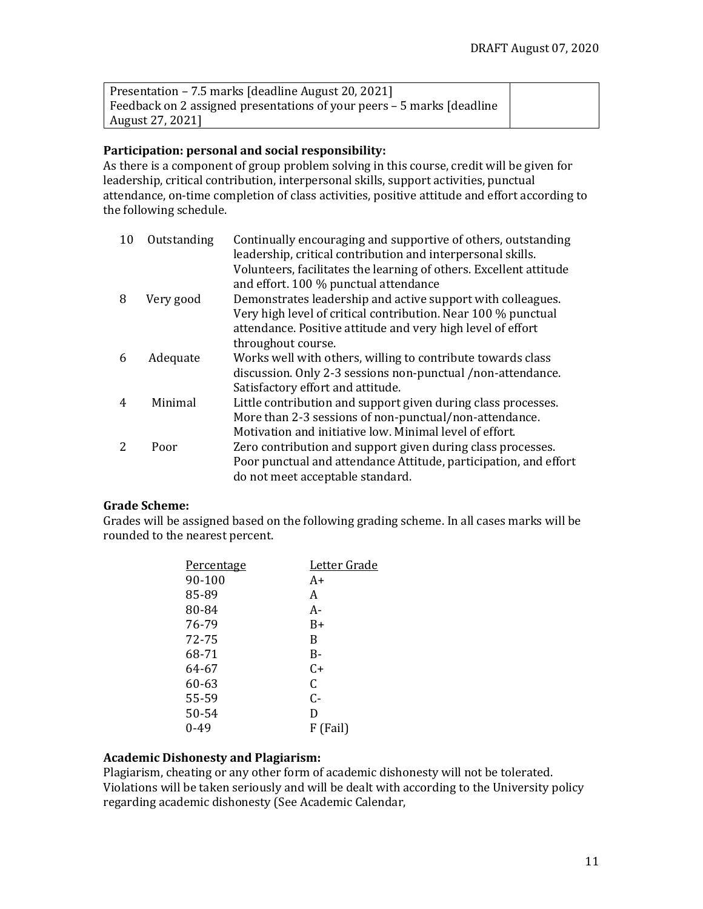| Presentation – 7.5 marks [deadline August 20, 2021]                     |  |
|-------------------------------------------------------------------------|--|
| Feedback on 2 assigned presentations of your peers – 5 marks [deadline] |  |
| August 27, 2021]                                                        |  |

### **Participation: personal and social responsibility:**

As there is a component of group problem solving in this course, credit will be given for leadership, critical contribution, interpersonal skills, support activities, punctual attendance, on-time completion of class activities, positive attitude and effort according to the following schedule.

| 10                       | Outstanding | Continually encouraging and supportive of others, outstanding<br>leadership, critical contribution and interpersonal skills. |
|--------------------------|-------------|------------------------------------------------------------------------------------------------------------------------------|
|                          |             | Volunteers, facilitates the learning of others. Excellent attitude                                                           |
|                          |             | and effort. 100 % punctual attendance                                                                                        |
| 8                        | Very good   | Demonstrates leadership and active support with colleagues.                                                                  |
|                          |             | Very high level of critical contribution. Near 100 % punctual                                                                |
|                          |             | attendance. Positive attitude and very high level of effort                                                                  |
|                          |             | throughout course.                                                                                                           |
| 6                        | Adequate    | Works well with others, willing to contribute towards class                                                                  |
|                          |             | discussion. Only 2-3 sessions non-punctual /non-attendance.                                                                  |
|                          |             | Satisfactory effort and attitude.                                                                                            |
| $\overline{4}$           | Minimal     | Little contribution and support given during class processes.                                                                |
|                          |             | More than 2-3 sessions of non-punctual/non-attendance.                                                                       |
|                          |             | Motivation and initiative low. Minimal level of effort.                                                                      |
| $\overline{\mathcal{L}}$ | Poor        | Zero contribution and support given during class processes.                                                                  |
|                          |             | Poor punctual and attendance Attitude, participation, and effort                                                             |
|                          |             | do not meet acceptable standard.                                                                                             |

#### **Grade Scheme:**

Grades will be assigned based on the following grading scheme. In all cases marks will be rounded to the nearest percent.

| Percentage | Letter Grade |
|------------|--------------|
| 90-100     | A+           |
| 85-89      | A            |
| 80-84      | А-           |
| 76-79      | B+           |
| 72-75      | B            |
| 68-71      | B-           |
| 64-67      | C+           |
| 60-63      | C            |
| 55-59      | C-           |
| 50-54      | D            |
| 0-49       | F (Fail)     |
|            |              |

### **Academic Dishonesty and Plagiarism:**

Plagiarism, cheating or any other form of academic dishonesty will not be tolerated. Violations will be taken seriously and will be dealt with according to the University policy regarding academic dishonesty (See Academic Calendar,